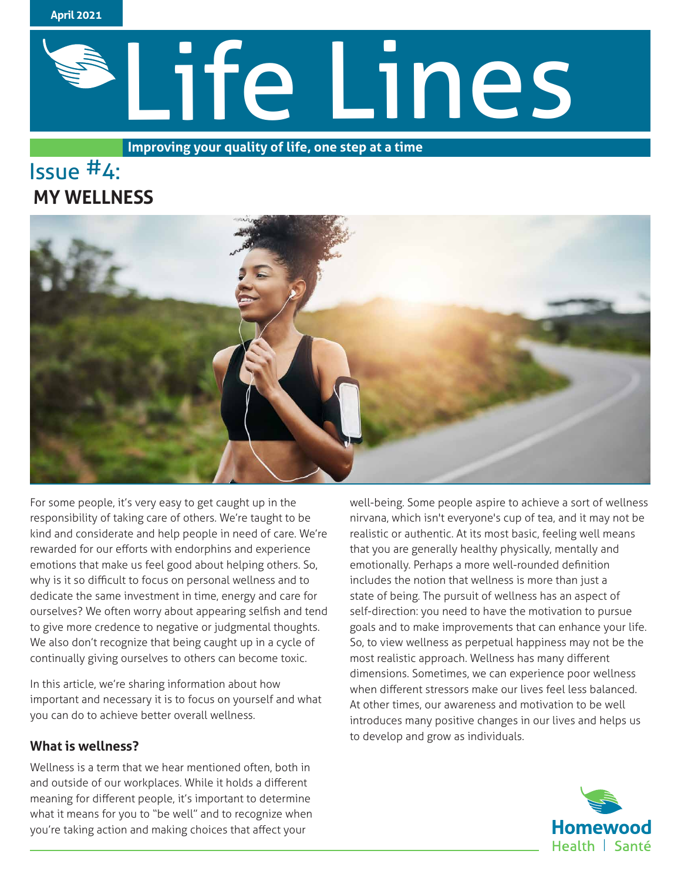

# Life Lines

**Improving your quality of life, one step at a time**

# lssue #4:  **MY WELLNESS**



For some people, it's very easy to get caught up in the responsibility of taking care of others. We're taught to be kind and considerate and help people in need of care. We're rewarded for our efforts with endorphins and experience emotions that make us feel good about helping others. So, why is it so difficult to focus on personal wellness and to dedicate the same investment in time, energy and care for ourselves? We often worry about appearing selfish and tend to give more credence to negative or judgmental thoughts. We also don't recognize that being caught up in a cycle of continually giving ourselves to others can become toxic.

In this article, we're sharing information about how important and necessary it is to focus on yourself and what you can do to achieve better overall wellness.

# **What is wellness?**

Wellness is a term that we hear mentioned often, both in and outside of our workplaces. While it holds a different meaning for different people, it's important to determine what it means for you to "be well" and to recognize when you're taking action and making choices that affect your

well-being. Some people aspire to achieve a sort of wellness nirvana, which isn't everyone's cup of tea, and it may not be realistic or authentic. At its most basic, feeling well means that you are generally healthy physically, mentally and emotionally. Perhaps a more well-rounded definition includes the notion that wellness is more than just a state of being. The pursuit of wellness has an aspect of self-direction: you need to have the motivation to pursue goals and to make improvements that can enhance your life. So, to view wellness as perpetual happiness may not be the most realistic approach. Wellness has many different dimensions. Sometimes, we can experience poor wellness when different stressors make our lives feel less balanced. At other times, our awareness and motivation to be well introduces many positive changes in our lives and helps us to develop and grow as individuals.

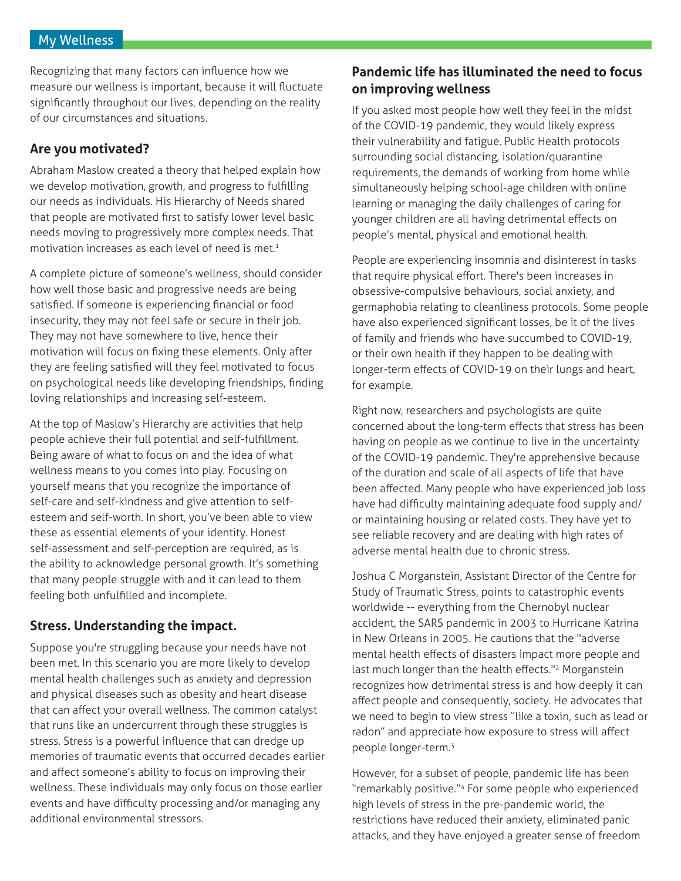### My Wellness

Recognizing that many factors can influence how we measure our wellness is important, because it will fluctuate significantly throughout our lives, depending on the reality of our circumstances and situations.

# **Are you motivated?**

Abraham Maslow created a theory that helped explain how we develop motivation, growth, and progress to fulfilling our needs as individuals. His Hierarchy of Needs shared that people are motivated first to satisfy lower level basic needs moving to progressively more complex needs. That motivation increases as each level of need is met.<sup>1</sup>

A complete picture of someone's wellness, should consider how well those basic and progressive needs are being satisfied. If someone is experiencing financial or food insecurity, they may not feel safe or secure in their job. They may not have somewhere to live, hence their motivation will focus on fixing these elements. Only after they are feeling satisfied will they feel motivated to focus on psychological needs like developing friendships, finding loving relationships and increasing self-esteem.

At the top of Maslow's Hierarchy are activities that help people achieve their full potential and self-fulfillment. Being aware of what to focus on and the idea of what wellness means to you comes into play. Focusing on yourself means that you recognize the importance of self-care and self-kindness and give attention to selfesteem and self-worth. In short, you've been able to view these as essential elements of your identity. Honest self-assessment and self-perception are required, as is the ability to acknowledge personal growth. It's something that many people struggle with and it can lead to them feeling both unfulfilled and incomplete.

# **Stress. Understanding the impact.**

Suppose you're struggling because your needs have not been met. In this scenario you are more likely to develop mental health challenges such as anxiety and depression and physical diseases such as obesity and heart disease that can affect your overall wellness. The common catalyst that runs like an undercurrent through these struggles is stress. Stress is a powerful influence that can dredge up memories of traumatic events that occurred decades earlier and affect someone's ability to focus on improving their wellness. These individuals may only focus on those earlier events and have difficulty processing and/or managing any additional environmental stressors.

# **Pandemic life has illuminated the need to focus on improving wellness**

If you asked most people how well they feel in the midst of the COVID-19 pandemic, they would likely express their vulnerability and fatigue. Public Health protocols surrounding social distancing, isolation/quarantine requirements, the demands of working from home while simultaneously helping school-age children with online learning or managing the daily challenges of caring for younger children are all having detrimental effects on people's mental, physical and emotional health.

People are experiencing insomnia and disinterest in tasks that require physical effort. There's been increases in obsessive-compulsive behaviours, social anxiety, and germaphobia relating to cleanliness protocols. Some people have also experienced significant losses, be it of the lives of family and friends who have succumbed to COVID-19, or their own health if they happen to be dealing with longer-term effects of COVID-19 on their lungs and heart, for example.

Right now, researchers and psychologists are quite concerned about the long-term effects that stress has been having on people as we continue to live in the uncertainty of the COVID-19 pandemic. They're apprehensive because of the duration and scale of all aspects of life that have been affected. Many people who have experienced job loss have had difficulty maintaining adequate food supply and/ or maintaining housing or related costs. They have yet to see reliable recovery and are dealing with high rates of adverse mental health due to chronic stress.

Joshua C Morganstein, Assistant Director of the Centre for Study of Traumatic Stress, points to catastrophic events worldwide -- everything from the Chernobyl nuclear accident, the SARS pandemic in 2003 to Hurricane Katrina in New Orleans in 2005. He cautions that the "adverse mental health effects of disasters impact more people and last much longer than the health effects."2 Morganstein recognizes how detrimental stress is and how deeply it can affect people and consequently, society. He advocates that we need to begin to view stress "like a toxin, such as lead or radon" and appreciate how exposure to stress will affect people longer-term.3

However, for a subset of people, pandemic life has been "remarkably positive."4 For some people who experienced high levels of stress in the pre-pandemic world, the restrictions have reduced their anxiety, eliminated panic attacks, and they have enjoyed a greater sense of freedom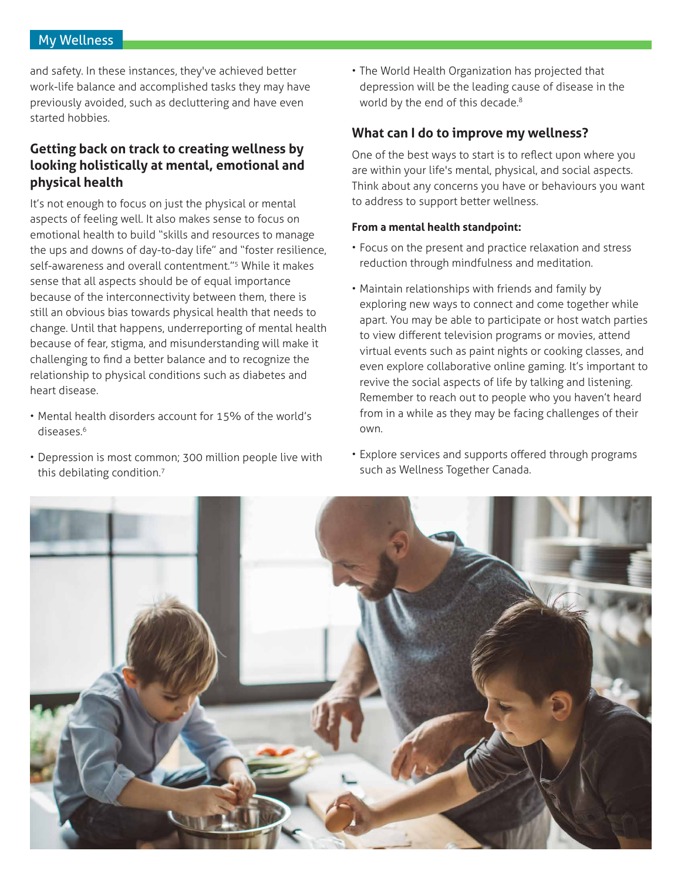# My Wellness

and safety. In these instances, they've achieved better work-life balance and accomplished tasks they may have previously avoided, such as decluttering and have even started hobbies.

# **Getting back on track to creating wellness by looking holistically at mental, emotional and physical health**

It's not enough to focus on just the physical or mental aspects of feeling well. It also makes sense to focus on emotional health to build "skills and resources to manage the ups and downs of day-to-day life" and "foster resilience, self-awareness and overall contentment."<sup>5</sup> While it makes sense that all aspects should be of equal importance because of the interconnectivity between them, there is still an obvious bias towards physical health that needs to change. Until that happens, underreporting of mental health because of fear, stigma, and misunderstanding will make it challenging to find a better balance and to recognize the relationship to physical conditions such as diabetes and heart disease.

- Mental health disorders account for 15% of the world's diseases.6
- Depression is most common; 300 million people live with this debilating condition.<sup>7</sup>

• The World Health Organization has projected that depression will be the leading cause of disease in the world by the end of this decade.<sup>8</sup>

# **What can I do to improve my wellness?**

One of the best ways to start is to reflect upon where you are within your life's mental, physical, and social aspects. Think about any concerns you have or behaviours you want to address to support better wellness.

### **From a mental health standpoint:**

- Focus on the present and practice relaxation and stress reduction through mindfulness and meditation.
- Maintain relationships with friends and family by exploring new ways to connect and come together while apart. You may be able to participate or host watch parties to view different television programs or movies, attend virtual events such as paint nights or cooking classes, and even explore collaborative online gaming. It's important to revive the social aspects of life by talking and listening. Remember to reach out to people who you haven't heard from in a while as they may be facing challenges of their own.
- Explore services and supports offered through programs such as Wellness Together Canada.